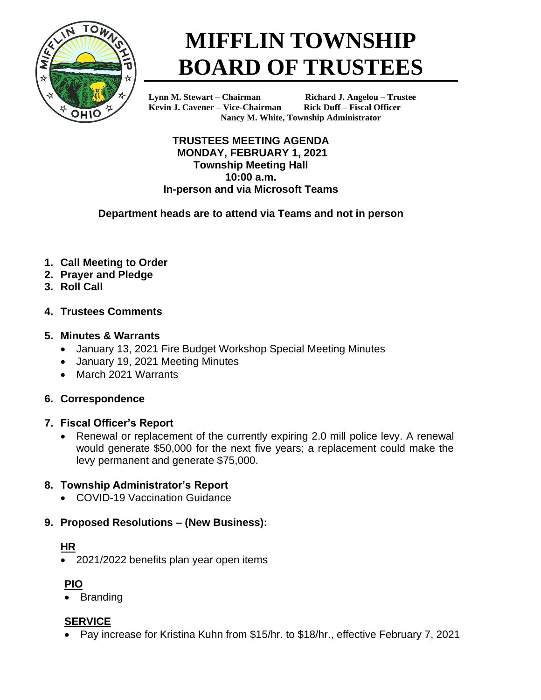

# **MIFFLIN TOWNSHIP BOARD OF TRUSTEES**

**Kevin J. Cavener – Vice-Chairman Rick Duff – Fiscal Officer**

**Lynn M. Stewart – Chairman Richard J. Angelou – Trustee Nancy M. White, Township Administrator**

**TRUSTEES MEETING AGENDA MONDAY, FEBRUARY 1, 2021 Township Meeting Hall 10:00 a.m. In-person and via Microsoft Teams**

**Department heads are to attend via Teams and not in person**

- **1. Call Meeting to Order**
- **2. Prayer and Pledge**
- **3. Roll Call**
- **4. Trustees Comments**

# **5. Minutes & Warrants**

- January 13, 2021 Fire Budget Workshop Special Meeting Minutes
- January 19, 2021 Meeting Minutes
- March 2021 Warrants

# **6. Correspondence**

## **7. Fiscal Officer's Report**

• Renewal or replacement of the currently expiring 2.0 mill police levy. A renewal would generate \$50,000 for the next five years; a replacement could make the levy permanent and generate \$75,000.

# **8. Township Administrator's Report**

• COVID-19 Vaccination Guidance

# **9. Proposed Resolutions – (New Business):**

# **HR**

• 2021/2022 benefits plan year open items

# **PIO**

**Branding** 

# **SERVICE**

• Pay increase for Kristina Kuhn from \$15/hr. to \$18/hr., effective February 7, 2021